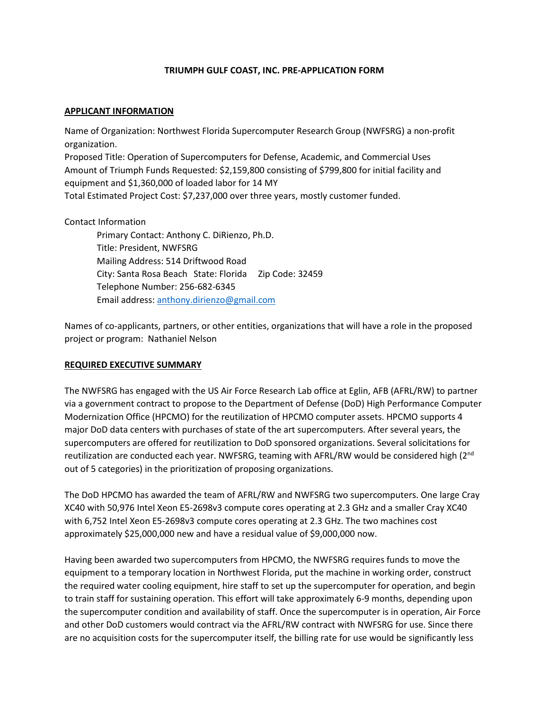## **TRIUMPH GULF COAST, INC. PRE-APPLICATION FORM**

## **APPLICANT INFORMATION**

Name of Organization: Northwest Florida Supercomputer Research Group (NWFSRG) a non-profit organization.

Proposed Title: Operation of Supercomputers for Defense, Academic, and Commercial Uses Amount of Triumph Funds Requested: \$2,159,800 consisting of \$799,800 for initial facility and equipment and \$1,360,000 of loaded labor for 14 MY Total Estimated Project Cost: \$7,237,000 over three years, mostly customer funded.

## Contact Information

Primary Contact: Anthony C. DiRienzo, Ph.D. Title: President, NWFSRG Mailing Address: 514 Driftwood Road City: Santa Rosa Beach State: Florida Zip Code: 32459 Telephone Number: 256-682-6345 Email address: [anthony.dirienzo@gmail.com](mailto:anthony.dirienzo@gmail.com)

Names of co-applicants, partners, or other entities, organizations that will have a role in the proposed project or program: Nathaniel Nelson

## **REQUIRED EXECUTIVE SUMMARY**

The NWFSRG has engaged with the US Air Force Research Lab office at Eglin, AFB (AFRL/RW) to partner via a government contract to propose to the Department of Defense (DoD) High Performance Computer Modernization Office (HPCMO) for the reutilization of HPCMO computer assets. HPCMO supports 4 major DoD data centers with purchases of state of the art supercomputers. After several years, the supercomputers are offered for reutilization to DoD sponsored organizations. Several solicitations for reutilization are conducted each year. NWFSRG, teaming with AFRL/RW would be considered high  $(2^{nd}$ out of 5 categories) in the prioritization of proposing organizations.

The DoD HPCMO has awarded the team of AFRL/RW and NWFSRG two supercomputers. One large Cray XC40 with 50,976 Intel Xeon E5-2698v3 compute cores operating at 2.3 GHz and a smaller Cray XC40 with 6,752 Intel Xeon E5-2698v3 compute cores operating at 2.3 GHz. The two machines cost approximately \$25,000,000 new and have a residual value of \$9,000,000 now.

Having been awarded two supercomputers from HPCMO, the NWFSRG requires funds to move the equipment to a temporary location in Northwest Florida, put the machine in working order, construct the required water cooling equipment, hire staff to set up the supercomputer for operation, and begin to train staff for sustaining operation. This effort will take approximately 6-9 months, depending upon the supercomputer condition and availability of staff. Once the supercomputer is in operation, Air Force and other DoD customers would contract via the AFRL/RW contract with NWFSRG for use. Since there are no acquisition costs for the supercomputer itself, the billing rate for use would be significantly less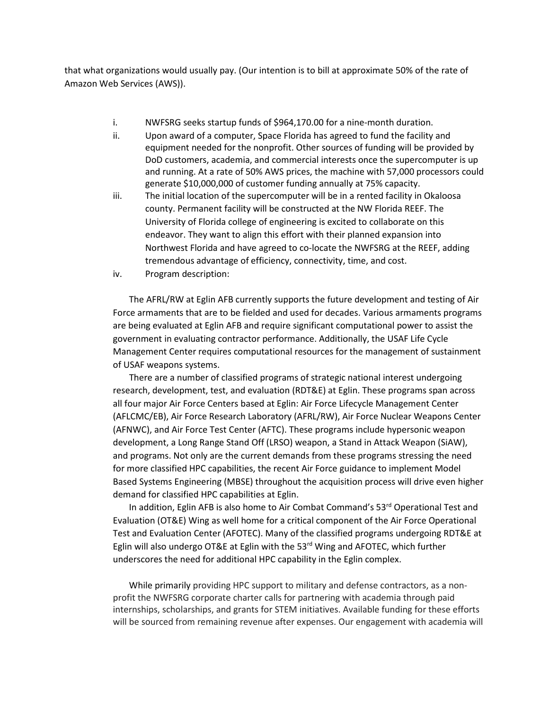that what organizations would usually pay. (Our intention is to bill at approximate 50% of the rate of Amazon Web Services (AWS)).

- i. NWFSRG seeks startup funds of \$964,170.00 for a nine-month duration.
- ii. Upon award of a computer, Space Florida has agreed to fund the facility and equipment needed for the nonprofit. Other sources of funding will be provided by DoD customers, academia, and commercial interests once the supercomputer is up and running. At a rate of 50% AWS prices, the machine with 57,000 processors could generate \$10,000,000 of customer funding annually at 75% capacity.
- iii. The initial location of the supercomputer will be in a rented facility in Okaloosa county. Permanent facility will be constructed at the NW Florida REEF. The University of Florida college of engineering is excited to collaborate on this endeavor. They want to align this effort with their planned expansion into Northwest Florida and have agreed to co-locate the NWFSRG at the REEF, adding tremendous advantage of efficiency, connectivity, time, and cost.
- iv. Program description:

The AFRL/RW at Eglin AFB currently supports the future development and testing of Air Force armaments that are to be fielded and used for decades. Various armaments programs are being evaluated at Eglin AFB and require significant computational power to assist the government in evaluating contractor performance. Additionally, the USAF Life Cycle Management Center requires computational resources for the management of sustainment of USAF weapons systems.

There are a number of classified programs of strategic national interest undergoing research, development, test, and evaluation (RDT&E) at Eglin. These programs span across all four major Air Force Centers based at Eglin: Air Force Lifecycle Management Center (AFLCMC/EB), Air Force Research Laboratory (AFRL/RW), Air Force Nuclear Weapons Center (AFNWC), and Air Force Test Center (AFTC). These programs include hypersonic weapon development, a Long Range Stand Off (LRSO) weapon, a Stand in Attack Weapon (SiAW), and programs. Not only are the current demands from these programs stressing the need for more classified HPC capabilities, the recent Air Force guidance to implement Model Based Systems Engineering (MBSE) throughout the acquisition process will drive even higher demand for classified HPC capabilities at Eglin.

In addition, Eglin AFB is also home to Air Combat Command's  $53<sup>rd</sup>$  Operational Test and Evaluation (OT&E) Wing as well home for a critical component of the Air Force Operational Test and Evaluation Center (AFOTEC). Many of the classified programs undergoing RDT&E at Eglin will also undergo OT&E at Eglin with the 53<sup>rd</sup> Wing and AFOTEC, which further underscores the need for additional HPC capability in the Eglin complex.

While primarily providing HPC support to military and defense contractors, as a nonprofit the NWFSRG corporate charter calls for partnering with academia through paid internships, scholarships, and grants for STEM initiatives. Available funding for these efforts will be sourced from remaining revenue after expenses. Our engagement with academia will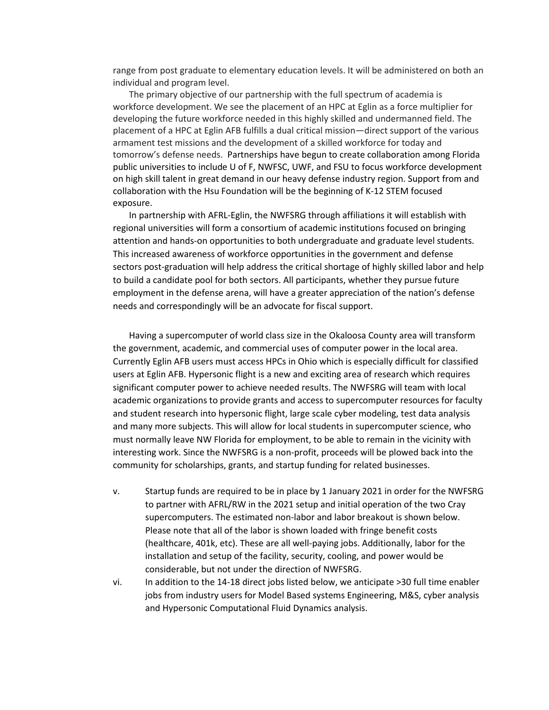range from post graduate to elementary education levels. It will be administered on both an individual and program level.

The primary objective of our partnership with the full spectrum of academia is workforce development. We see the placement of an HPC at Eglin as a force multiplier for developing the future workforce needed in this highly skilled and undermanned field. The placement of a HPC at Eglin AFB fulfills a dual critical mission—direct support of the various armament test missions and the development of a skilled workforce for today and tomorrow's defense needs. Partnerships have begun to create collaboration among Florida public universities to include U of F, NWFSC, UWF, and FSU to focus workforce development on high skill talent in great demand in our heavy defense industry region. Support from and collaboration with the Hsu Foundation will be the beginning of K-12 STEM focused exposure.

In partnership with AFRL-Eglin, the NWFSRG through affiliations it will establish with regional universities will form a consortium of academic institutions focused on bringing attention and hands-on opportunities to both undergraduate and graduate level students. This increased awareness of workforce opportunities in the government and defense sectors post-graduation will help address the critical shortage of highly skilled labor and help to build a candidate pool for both sectors. All participants, whether they pursue future employment in the defense arena, will have a greater appreciation of the nation's defense needs and correspondingly will be an advocate for fiscal support.

Having a supercomputer of world class size in the Okaloosa County area will transform the government, academic, and commercial uses of computer power in the local area. Currently Eglin AFB users must access HPCs in Ohio which is especially difficult for classified users at Eglin AFB. Hypersonic flight is a new and exciting area of research which requires significant computer power to achieve needed results. The NWFSRG will team with local academic organizations to provide grants and access to supercomputer resources for faculty and student research into hypersonic flight, large scale cyber modeling, test data analysis and many more subjects. This will allow for local students in supercomputer science, who must normally leave NW Florida for employment, to be able to remain in the vicinity with interesting work. Since the NWFSRG is a non-profit, proceeds will be plowed back into the community for scholarships, grants, and startup funding for related businesses.

- v. Startup funds are required to be in place by 1 January 2021 in order for the NWFSRG to partner with AFRL/RW in the 2021 setup and initial operation of the two Cray supercomputers. The estimated non-labor and labor breakout is shown below. Please note that all of the labor is shown loaded with fringe benefit costs (healthcare, 401k, etc). These are all well-paying jobs. Additionally, labor for the installation and setup of the facility, security, cooling, and power would be considerable, but not under the direction of NWFSRG.
- vi. In addition to the 14-18 direct jobs listed below, we anticipate >30 full time enabler jobs from industry users for Model Based systems Engineering, M&S, cyber analysis and Hypersonic Computational Fluid Dynamics analysis.